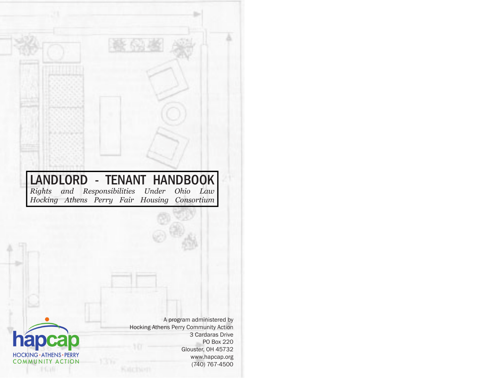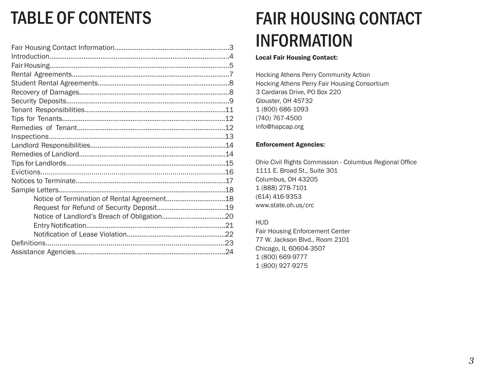# TABLE OF CONTENTS

# FAIR HOUSING CONTACT INFORMATION

### Local Fair Housing Contact:

Hocking Athens Perry Community Action Hocking Athens Perry Fair Housing Consortium 3 Cardaras Drive, PO Box 220 Glouster, OH 45732 1 (800) 686-1093 (740) 767-4500 info@hapcap.org

### Enforcement Agencies:

Ohio Civil Rights Commission - Columbus Regional Office 1111 E. Broad St., Suite 301 Columbus, OH 43205 1 (888) 278-7101 (614) 416-9353 www.state.oh.us/crc

### HUD

Fair Housing Enforcement Center 77 W. Jackson Blvd., Room 2101 Chicago, IL 60604-3507 1 (800) 669-9777 1 (800) 927-9275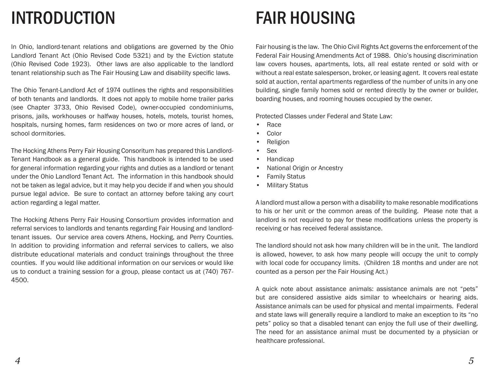# INTRODUCTION FAIR HOUSING

In Ohio, landlord-tenant relations and obligations are governed by the Ohio Landlord Tenant Act (Ohio Revised Code 5321) and by the Eviction statute (Ohio Revised Code 1923). Other laws are also applicable to the landlord tenant relationship such as The Fair Housing Law and disability specific laws.

The Ohio Tenant-Landlord Act of 1974 outlines the rights and responsibilities of both tenants and landlords. It does not apply to mobile home trailer parks (see Chapter 3733, Ohio Revised Code), owner-occupied condominiums, prisons, jails, workhouses or halfway houses, hotels, motels, tourist homes, hospitals, nursing homes, farm residences on two or more acres of land, or school dormitories.

The Hocking Athens Perry Fair Housing Consoritum has prepared this Landlord-Tenant Handbook as a general guide. This handbook is intended to be used for general information regarding your rights and duties as a landlord or tenant under the Ohio Landlord Tenant Act. The information in this handbook should not be taken as legal advice, but it may help you decide if and when you should pursue legal advice. Be sure to contact an attorney before taking any court action regarding a legal matter.

The Hocking Athens Perry Fair Housing Consortium provides information and referral services to landlords and tenants regarding Fair Housing and landlordtenant issues. Our service area covers Athens, Hocking, and Perry Counties. In addition to providing information and referral services to callers, we also distribute educational materials and conduct trainings throughout the three counties. If you would like additional information on our services or would like us to conduct a training session for a group, please contact us at (740) 767- 4500.

Fair housing is the law. The Ohio Civil Rights Act governs the enforcement of the Federal Fair Housing Amendments Act of 1988. Ohio's housing discrimination law covers houses, apartments, lots, all real estate rented or sold with or without a real estate salesperson, broker, or leasing agent. It covers real estate sold at auction, rental apartments regardless of the number of units in any one building, single family homes sold or rented directly by the owner or builder, boarding houses, and rooming houses occupied by the owner.

Protected Classes under Federal and State Law:

- Race
- Color
- Religion
- Sex
- Handicap
- National Origin or Ancestry
- **Family Status**
- Military Status

A landlord must allow a person with a disability to make resonable modifications to his or her unit or the common areas of the building. Please note that a landlord is not required to pay for these modifications unless the property is receiving or has received federal assistance.

The landlord should not ask how many children will be in the unit. The landlord is allowed, however, to ask how many people will occupy the unit to comply with local code for occupancy limits. (Children 18 months and under are not counted as a person per the Fair Housing Act.)

A quick note about assistance animals: assistance animals are not "pets" but are considered assistive aids similar to wheelchairs or hearing aids. Assistance animals can be used for physical and mental impairments. Federal and state laws will generally require a landlord to make an exception to its "no pets" policy so that a disabled tenant can enjoy the full use of their dwelling. The need for an assistance animal must be documented by a physician or healthcare professional.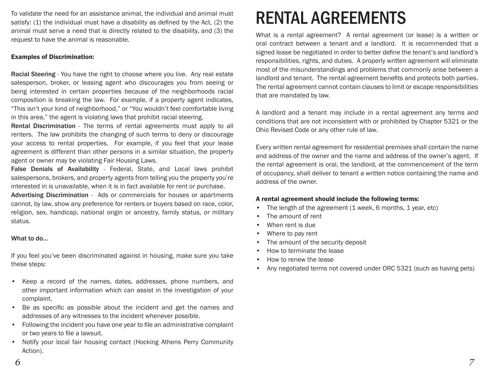To validate the need for an assistance animal, the individual and animal must **RENTAL AGREEMENTS**<br>satisfy: (1) the individual must have a disability as defined by the Act, (2) the **RENTAL AGREEMENTS** animal must serve a need that is directly related to the disability, and (3) the request to have the animal is reasonable.

### Examples of Discrimination:

Racial Steering - You have the right to choose where you live. Any real estate salesperson, broker, or leasing agent who discourages you from seeing or being interested in certain properties because of the neighborhoods racial composition is breaking the law. For example, if a property agent indicates, "This isn't your kind of neighborhood," or "You wouldn't feel comfortable living in this area," the agent is violating laws that prohibit racial steering.

Rental Discrimination - The terms of rental agreements must apply to all renters. The law prohibits the changing of such terms to deny or discourage your access to rental properties. For example, if you feel that your lease agreement is different than other persons in a similar situation, the property agent or owner may be violating Fair Housing Laws.

False Denials of Availability - Federal, State, and Local laws prohibit salespersons, brokers, and property agents from telling you the property you're interested in is unavailable, when it is in fact available for rent or purchase.

Advertising Discrimination - Ads or commercials for houses or apartments cannot, by law, show any preference for renters or buyers based on race, color, religion, sex, handicap, national origin or ancestry, family status, or military status.

#### What to do...

If you feel you've been discriminated against in housing, make sure you take these steps:

- Keep a record of the names, dates, addresses, phone numbers, and other important information which can assist in the investigation of your complaint.
- Be as specific as possible about the incident and get the names and addresses of any witnesses to the incident whenever possible.
- Following the incident you have one year to file an administrative complaint or two years to file a lawsuit.
- Notify your local fair housing contact (Hocking Athens Perry Community Action).

What is a rental agreement? A rental agreement (or lease) is a written or oral contract between a tenant and a landlord. It is recommended that a signed lease be negotiated in order to better define the tenant's and landlord's responsibilities, rights, and duties. A properly written agreement will eliminate most of the misunderstandings and problems that commonly arise between a landlord and tenant. The rental agreement benefits and protects both parties. The rental agreement cannot contain clauses to limit or escape responsibilities that are mandated by law.

A landlord and a tenant may include in a rental agreement any terms and conditions that are not inconsistent with or prohibited by Chapter 5321 or the Ohio Revised Code or any other rule of law.

Every written rental agreement for residential premises shall contain the name and address of the owner and the name and address of the owner's agent. If the rental agreement is oral, the landlord, at the commencement of the term of occupancy, shall deliver to tenant a written notice containing the name and address of the owner.

### A rental agreement should include the following terms:

- The length of the agreement (1 week, 6 months, 1 year, etc)
- The amount of rent
- When rent is due
- Where to pay rent
- The amount of the security deposit
- How to terminate the lease
- How to renew the lease
- Any negotiated terms not covered under ORC 5321 (such as having pets)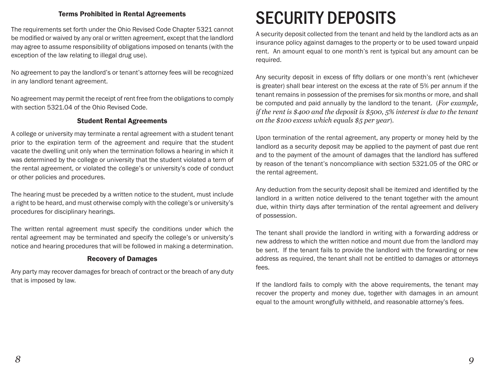The requirements set forth under the Ohio Revised Code Chapter 5321 cannot be modified or waived by any oral or written agreement, except that the landlord may agree to assume responsibility of obligations imposed on tenants (with the exception of the law relating to illegal drug use).

No agreement to pay the landlord's or tenant's attorney fees will be recognized in any landlord tenant agreement.

No agreement may permit the receipt of rent free from the obligations to comply with section 5321.04 of the Ohio Revised Code.

### Student Rental Agreements

A college or university may terminate a rental agreement with a student tenant prior to the expiration term of the agreement and require that the student vacate the dwelling unit only when the termination follows a hearing in which it was determined by the college or university that the student violated a term of the rental agreement, or violated the college's or university's code of conduct or other policies and procedures.

The hearing must be preceded by a written notice to the student, must include a right to be heard, and must otherwise comply with the college's or university's procedures for disciplinary hearings.

The written rental agreement must specify the conditions under which the rental agreement may be terminated and specify the college's or university's notice and hearing procedures that will be followed in making a determination.

## Recovery of Damages

Any party may recover damages for breach of contract or the breach of any duty that is imposed by law.

# Terms Prohibited in Rental Agreements SECURITY DEPOSITS

A security deposit collected from the tenant and held by the landlord acts as an insurance policy against damages to the property or to be used toward unpaid rent. An amount equal to one month's rent is typical but any amount can be required.

Any security deposit in excess of fifty dollars or one month's rent (whichever is greater) shall bear interest on the excess at the rate of 5% per annum if the tenant remains in possession of the premises for six months or more, and shall be computed and paid annually by the landlord to the tenant. (*For example, if the rent is \$400 and the deposit is \$500, 5% interest is due to the tenant on the \$100 excess which equals \$5 per year*).

Upon termination of the rental agreement, any property or money held by the landlord as a security deposit may be applied to the payment of past due rent and to the payment of the amount of damages that the landlord has suffered by reason of the tenant's noncompliance with section 5321.05 of the ORC or the rental agreement.

Any deduction from the security deposit shall be itemized and identified by the landlord in a written notice delivered to the tenant together with the amount due, within thirty days after termination of the rental agreement and delivery of possession.

The tenant shall provide the landlord in writing with a forwarding address or new address to which the written notice and mount due from the landlord may be sent. If the tenant fails to provide the landlord with the forwarding or new address as required, the tenant shall not be entitled to damages or attorneys fees.

If the landlord fails to comply with the above requirements, the tenant may recover the property and money due, together with damages in an amount equal to the amount wrongfully withheld, and reasonable attorney's fees.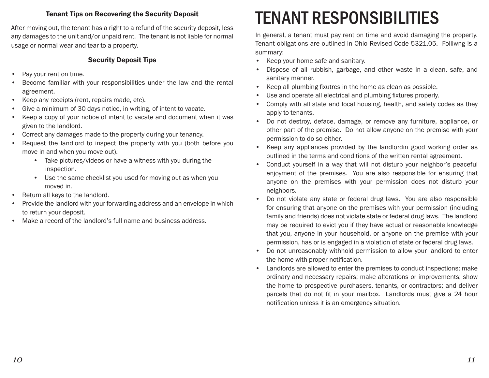After moving out, the tenant has a right to a refund of the security deposit, less any damages to the unit and/or unpaid rent. The tenant is not liable for normal usage or normal wear and tear to a property.

# Security Deposit Tips

- Pay your rent on time.
- Become familiar with your responsibilities under the law and the rental agreement.
- Keep any receipts (rent, repairs made, etc).
- Give a minimum of 30 days notice, in writing, of intent to vacate.
- Keep a copy of your notice of intent to vacate and document when it was given to the landlord.
- Correct any damages made to the property during your tenancy.
- Request the landlord to inspect the property with you (both before you move in and when you move out).
	- Take pictures/videos or have a witness with you during the inspection.
	- Use the same checklist you used for moving out as when you moved in.
- Return all keys to the landlord.
- Provide the landlord with your forwarding address and an envelope in which to return your deposit.
- Make a record of the landlord's full name and business address.

# Tenant Tips on Recovering the Security Deposit FENANT RESPONSIBILITIES

In general, a tenant must pay rent on time and avoid damaging the property. Tenant obligations are outlined in Ohio Revised Code 5321.05. Folliwng is a summary:

- Keep your home safe and sanitary.
- Dispose of all rubbish, garbage, and other waste in a clean, safe, and sanitary manner.
- Keep all plumbing fixutres in the home as clean as possible.
- Use and operate all electrical and plumbing fixtures properly.
- Comply with all state and local housing, health, and safety codes as they apply to tenants.
- Do not destroy, deface, damage, or remove any furniture, appliance, or other part of the premise. Do not allow anyone on the premise with your permission to do so either.
- Keep any appliances provided by the landlordin good working order as outlined in the terms and conditions of the written rental agreement.
- Conduct yourself in a way that will not disturb your neighbor's peaceful enjoyment of the premises. You are also responsible for ensuring that anyone on the premises with your permission does not disturb your neighbors.
- Do not violate any state or federal drug laws. You are also responsible for ensuring that anyone on the premises with your permission (including family and friends) does not violate state or federal drug laws. The landlord may be required to evict you if they have actual or reasonable knowledge that you, anyone in your household, or anyone on the premise with your permission, has or is engaged in a violation of state or federal drug laws.
- Do not unreasonably withhold permission to allow your landlord to enter the home with proper notification.
- Landlords are allowed to enter the premises to conduct inspections; make ordinary and necessary repairs; make alterations or improvements; show the home to prospective purchasers, tenants, or contractors; and deliver parcels that do not fit in your mailbox. Landlords must give a 24 hour notification unless it is an emergency situation.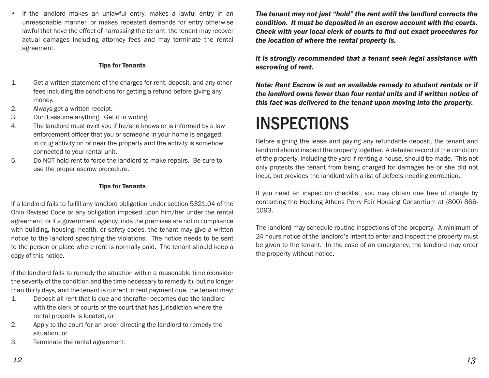If the landlord makes an unlawful entry, makes a lawful entry in an unreasonable manner, or makes repeated demands for entry otherwise lawful that have the effect of harrassing the tenant, the tenant may recover actual damages including attorney fees and may terminate the rental agreement.

### Tips for Tenants

- 1. Get a written statement of the charges for rent, deposit, and any other fees including the conditions for getting a refund before giving any money.
- 2. Always get a written receipt.
- 3. Don't assume anything. Get it in writing.
- 4. The landlord must evict you if he/she knows or is informed by a law enforcement officer that you or someone in your home is engaged in drug activity on or near the property and the activity is somehow connected to your rental unit.
- 5. Do NOT hold rent to force the landlord to make repairs. Be sure to use the proper escrow procedure.

### Tips for Tenants

If a landlord fails to fulfill any landlord obligation under section 5321.04 of the Ohio Revised Code or any obligation imposed upon him/her under the rental agreement; or if a government agency finds the premises are not in compliance with building, housing, health, or safety codes, the tenant may give a written notice to the landlord specifying the violations. The notice needs to be sent to the person or place where rent is normally paid. The tenant should keep a copy of this notice.

If the landlord fails to remedy the situation within a reasonable time (consider the severity of the condition and the time necessary to remedy it), but no longer than thirty days, and the tenant is current in rent payment due, the tenant may:

- 1. Deposit all rent that is due and therafter becomes due the landlord with the clerk of courts of the court that has jurisdiction where the rental property is located, or
- 2. Apply to the court for an order directing the landlord to remedy the situation, or
- 3. Terminate the rental agreement.

*The tenant may not just "hold" the rent until the landlord corrects the condition. It must be deposited in an escrow account with the courts.*  **Check with your local clerk of courts to find out exact procedures for** *the location of where the rental property is.*

*It is strongly recommended that a tenant seek legal assistance with escrowing of rent.*

*Note: Rent Escrow is not an available remedy to student rentals or if the landlord owns fewer than four rental units and if written notice of this fact was delivered to the tenant upon moving into the property.*

# **INSPECTIONS**

Before signing the lease and paying any refundable deposit, the tenant and landlord should inspect the property together. A detailed record of the condition of the property, including the yard if renting a house, should be made. This not only protects the tenant from being charged for damages he or she did not incur, but provides the landlord with a list of defects needing correction.

If you need an inspection checklist, you may obtain one free of charge by contacting the Hocking Athens Perry Fair Housing Consortium at (800) 866- 1093.

The landlord may schedule routine inspections of the property. A minimum of 24 hours notice of the landlord's intent to enter and inspect the property must be given to the tenant. In the case of an emergency, the landlord may enter the property without notice.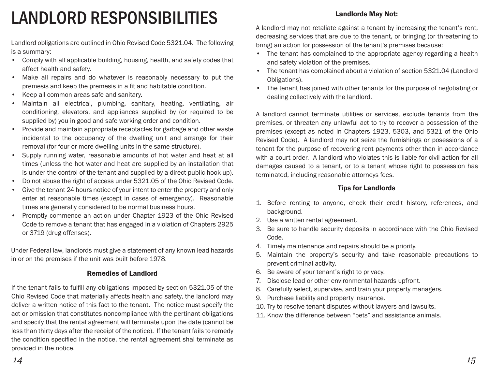# LANDLORD RESPONSIBILITIES

Landlord obligations are outlined in Ohio Revised Code 5321.04. The following is a summary:

- Comply with all applicable building, housing, health, and safety codes that affect health and safety.
- Make all repairs and do whatever is reasonably necessary to put the premesis and keep the premesis in a fit and habitable condition.
- Keep all common areas safe and sanitary.
- Maintain all electrical, plumbing, sanitary, heating, ventilating, air conditioning, elevators, and appliances supplied by (or required to be supplied by) you in good and safe working order and condition.
- Provide and maintain appropriate receptacles for garbage and other waste incidental to the occupancy of the dwelling unit and arrange for their removal (for four or more dwelling units in the same structure).
- Supply running water, reasonable amounts of hot water and heat at all times (unless the hot water and heat are supplied by an installation that is under the control of the tenant and supplied by a direct public hook-up).
- Do not abuse the right of access under 5321.05 of the Ohio Revised Code.
- Give the tenant 24 hours notice of your intent to enter the property and only enter at reasonable times (except in cases of emergency). Reasonable times are generally considered to be normal business hours.
- Promptly commence an action under Chapter 1923 of the Ohio Revised Code to remove a tenant that has engaged in a violation of Chapters 2925 or 3719 (drug offenses).

Under Federal law, landlords must give a statement of any known lead hazards in or on the premises if the unit was built before 1978.

## Remedies of Landlord

If the tenant fails to fulfill any obligations imposed by section 5321.05 of the Ohio Revised Code that materially affects health and safety, the landlord may deliver a written notice of this fact to the tenant. The notice must specify the act or omission that constitutes noncompliance with the pertinant obligations and specify that the rental agreement will terminate upon the date (cannot be less than thirty days after the receipt of the notice). If the tenant fails to remedy the condition specified in the notice, the rental agreement shal terminate as provided in the notice.

## Landlords May Not:

A landlord may not retaliate against a tenant by increasing the tenant's rent, decreasing services that are due to the tenant, or bringing (or threatening to bring) an action for possession of the tenant's premises because:

- The tenant has complained to the appropriate agency regarding a health and safety violation of the premises.
- The tenant has complained about a violation of section 5321.04 (Landlord Obligations).
- The tenant has joined with other tenants for the purpose of negotiating or dealing collectively with the landlord.

A landlord cannot terminate utilities or services, exclude tenants from the premises, or threaten any unlawful act to try to recover a possession of the premises (except as noted in Chapters 1923, 5303, and 5321 of the Ohio Revised Code). A landlord may not seize the furnishings or posessions of a tenant for the purpose of recovering rent payments other than in accordance with a court order. A landlord who violates this is liable for civil action for all damages caused to a tenant, or to a tenant whose right to possession has terminated, including reasonable attorneys fees.

### Tips for Landlords

- 1. Before renting to anyone, check their credit history, references, and background.
- 2. Use a written rental agreement.
- 3. Be sure to handle security deposits in accordinace with the Ohio Revised Code.
- 4. Timely maintenance and repairs should be a priority.
- 5. Maintain the property's security and take reasonable precautions to prevent criminal activity.
- 6. Be aware of your tenant's right to privacy.
- 7. Disclose lead or other environmental hazards upfront.
- 8. Carefully select, supervise, and train your property managers.
- 9. Purchase liability and property insurance.
- 10. Try to resolve tenant disputes without lawyers and lawsuits.
- 11. Know the difference between "pets" and assistance animals.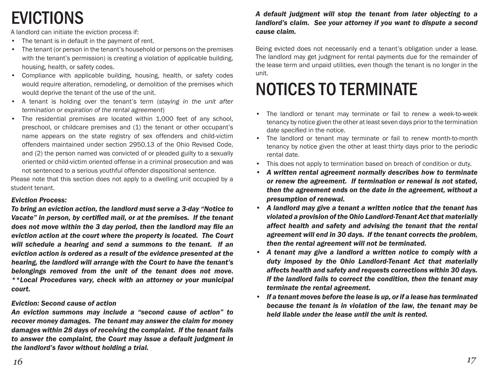# EVICTIONS

A landlord can initiate the eviction process if:

- The tenant is in default in the payment of rent.
- The tenant (or person in the tenant's household or persons on the premises with the tenant's permission) is creating a violation of applicable building, housing, health, or safety codes.
- Compliance with applicable building, housing, health, or safety codes would require alteration, remodeling, or demolition of the premises which would deprive the tenant of the use of the unit.
- A tenant is holding over the tenant's term (*staying in the unit after termination or expiration of the rental agreement*)
- The residential premises are located within 1,000 feet of any school, preschool, or childcare premises and (1) the tenant or other occupant's name appears on the state registry of sex offenders and child-victim offenders maintained under section 2950.13 of the Ohio Revised Code, and (2) the person named was convicted of or pleaded guilty to a sexually oriented or child-victim oriented offense in a criminal prosecution and was not sentenced to a serious youthful offender dispositional sentence.

Please note that this section does not apply to a dwelling unit occupied by a student tenant.

## *Eviction Process:*

*To bring an eviction action, the landlord must serve a 3-day "Notice to Vacate" in person, by certi fi ed mail, or at the premises. If the tenant does not move within the 3 day period, then the landlord may fi le an eviction action at the court where the property is located. The Court will schedule a hearing and send a summons to the tenant. If an eviction action is ordered as a result of the evidence presented at the hearing, the landlord will arrange with the Court to have the tenant's belongings removed from the unit of the tenant does not move. \*\*Local Procedures vary, check with an attorney or your municipal court.*

## *Eviction: Second cause of action*

*An eviction summons may include a "second cause of action" to recover money damages. The tenant may answer the claim for money damages within 28 days of receiving the complaint. If the tenant fails to answer the complaint, the Court may issue a default judgment in the landlord's favor without holding a trial.* 

## *A default judgment will stop the tenant from later objecting to a landlord's claim. See your attorney if you want to dispute a second cause claim.*

Being evicted does not necessarily end a tenant's obligation under a lease. The landlord may get judgment for rental payments due for the remainder of the lease term and unpaid utilities, even though the tenant is no longer in the unit.

# NOTICES TO TERMINATE

- The landlord or tenant may terminate or fail to renew a week-to-week tenancy by notice given the other at least seven days prior to the termination date specified in the notice.
- The landlord or tenant may terminate or fail to renew month-to-month tenancy by notice given the other at least thirty days prior to the periodic rental date.
- This does not apply to termination based on breach of condition or duty.
- *A written rental agreement normally describes how to terminate or renew the agreement. If termination or renewal is not stated, then the agreement ends on the date in the agreement, without a presumption of renewal.*
- *A landlord may give a tenant a written notice that the tenant has violated a provision of the Ohio Landlord-Tenant Act that materially affect health and safety and advising the tenant that the rental agreement will end in 30 days. If the tenant corrects the problem, then the rental agreement will not be terminated.*
- *A tenant may give a landlord a written notice to comply with a duty imposed by the Ohio Landlord-Tenant Act that materially affects health and safety and requests corrections within 30 days. If the landlord fails to correct the condition, then the tenant may terminate the rental agreement.*
- *If a tenant moves before the lease is up, or if a lease has terminated because the tenant is in violation of the law, the tenant may be held liable under the lease until the unit is rented.*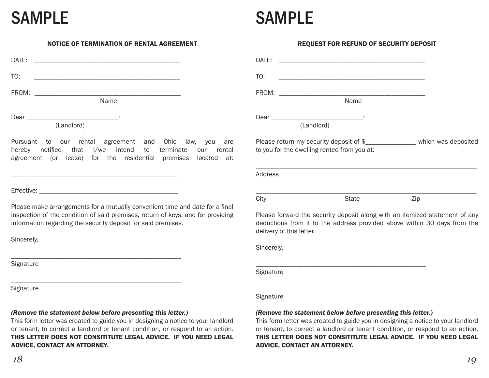# SAMPLE SAMPLE

ADVICE, CONTACT AN ATTORNEY.

#### NOTICE OF TERMINATION OF RENTAL AGREEMENT

| DATE: |            |
|-------|------------|
| TO:   |            |
| FROM: |            |
|       | Name       |
| Dear  | ٠          |
|       | (Landlord) |

Pursuant to our rental agreement and Ohio law, you are hereby notified that I/we intend to terminate our rental agreement (or lease) for the residential premises located at:

Effective:

Please make arrangements for a mutually convenient time and date for a final inspection of the condition of said premises, return of keys, and for providing information regarding the security deposit for said premises.

Sincerely,

**Signature** 

**Signature** 

*18*

## *(Remove the statement below before presenting this letter.)*

\_\_\_\_\_\_\_\_\_\_\_\_\_\_\_\_\_\_\_\_\_\_\_\_\_\_\_\_\_\_\_\_\_\_\_\_\_\_\_\_\_\_\_\_\_\_\_\_\_\_

\_\_\_\_\_\_\_\_\_\_\_\_\_\_\_\_\_\_\_\_\_\_\_\_\_\_\_\_\_\_\_\_\_\_\_\_\_\_\_\_\_\_\_\_\_\_\_\_\_\_

This form letter was created to guide you in designing a notice to your landlord or tenant, to correct a landlord or tenant condition, or respond to an action. THIS LETTER DOES NOT CONSITITUTE LEGAL ADVICE. IF YOU NEED LEGAL ADVICE, CONTACT AN ATTORNEY.

| DATE:                                                       |              |                                                                                                                                                         |
|-------------------------------------------------------------|--------------|---------------------------------------------------------------------------------------------------------------------------------------------------------|
| TO:                                                         |              |                                                                                                                                                         |
| FROM:                                                       | Name         |                                                                                                                                                         |
|                                                             |              |                                                                                                                                                         |
| (Landlord)                                                  |              |                                                                                                                                                         |
| to you for the dwelling rented from you at:                 |              | Please return my security deposit of \$______________________ which was deposited                                                                       |
| <b>Address</b>                                              |              |                                                                                                                                                         |
| City                                                        | <b>State</b> | Zip                                                                                                                                                     |
| delivery of this letter.                                    |              | Please forward the security deposit along with an itemized statement of any<br>deductions from it to the address provided above within 30 days from the |
| Sincerely,                                                  |              |                                                                                                                                                         |
| Signature                                                   |              |                                                                                                                                                         |
| Signature                                                   |              |                                                                                                                                                         |
| (Remove the statement below before presenting this letter.) |              | This form letter was created to guide you in designing a notice to your landlord                                                                        |
|                                                             |              | or tenant, to correct a landlord or tenant condition, or respond to an action.<br>THIS LETTER DOES NOT CONSITITUTE LEGAL ADVICE.  IF YOU NEED LEGAL     |

REQUEST FOR REFUND OF SECURITY DEPOSIT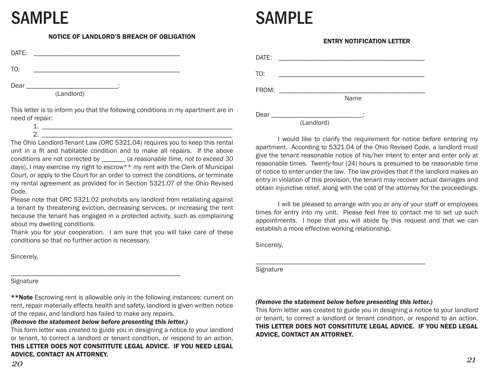# SAMPLE SAMPLE

#### NOTICE OF LANDLORD'S BREACH OF OBLIGATION

| DATE: |            |   |  |
|-------|------------|---|--|
| TO:   |            |   |  |
| Dear  | (Landlord) | ٠ |  |

This letter is to inform you that the following conditions in my apartment are in need of repair: 1. \_\_\_\_\_\_\_\_\_\_\_\_\_\_\_\_\_\_\_\_\_\_\_\_\_\_\_\_\_\_\_\_\_\_\_\_\_\_\_\_\_\_\_\_\_\_\_\_\_\_\_\_\_\_\_\_

 $2.$ 

The Ohio Landlord-Tenant Law (ORC 5321.04) requires you to keep this rental unit in a fit and habitable condition and to make all repairs. If the above conditions are not corrected by \_\_\_\_\_\_\_ (*a reasonable time, not to exceed 30 days*), I may exercise my right to escrow\*\* my rent with the Clerk of Municipal Court, or apply to the Court for an order to correct the conditions, or terminate my rental agreement as provided for in Section 5321.07 of the Ohio Revised Code.

Please note that ORC 5321.02 prohobits any landlord from retaliating against a tenant by threatening eviction, decreasing services, or increasing the rent because the tenant has engaged in a protected activity, such as complaining about my dwelling conditions.

Thank you for your cooperation. I am sure that you will take care of these conditions so that no further action is necessary.

Sincerely,

**Signature** 

\*\*Note Escrowing rent is allowable only in the following instances: current on rent, repair materially effects health and safety, landlord is given written notice of the repair, and landlord has failed to make any repairs.

*(Remove the statement below before presenting this letter.)*

This form letter was created to guide you in designing a notice to your landlord or tenant, to correct a landlord or tenant condition, or respond to an action. THIS LETTER DOES NOT CONSITITUTE LEGAL ADVICE. IF YOU NEED LEGAL ADVICE, CONTACT AN ATTORNEY.

#### ENTRY NOTIFICATION LETTER

| DATE: | the control of the control of the control of the control of |      |
|-------|-------------------------------------------------------------|------|
| TO:   |                                                             |      |
| FROM: |                                                             |      |
|       |                                                             | Name |
| Dear  |                                                             |      |
|       | (Landlord)                                                  |      |

 I would like to clarify the requirement for notice before entering my apartment. According to 5321.04 of the Ohio Revised Code, a landlord must give the tenant reasonable notice of his/her intent to enter and enter only at reasonable times. Twenty-four (24) hours is presumed to be reasonable time of notice to enter under the law. The law provides that if the landlord makes an entry in violation of this provision, the tenant may recover actual damages and obtain injunctive relief, along with the cost of the attorney for the proceedings.

 I will be pleased to arrange with you or any of your staff or employees times for entry into my unit. Please feel free to contact me to set up such appointments. I hope that you will abide by this request and that we can establish a more effective working relationship.

Sincerely,

**Signature** 

#### *(Remove the statement below before presenting this letter.)*

\_\_\_\_\_\_\_\_\_\_\_\_\_\_\_\_\_\_\_\_\_\_\_\_\_\_\_\_\_\_\_\_\_\_\_\_\_\_\_\_\_\_\_\_\_\_\_\_\_\_

This form letter was created to guide you in designing a notice to your landlord or tenant, to correct a landlord or tenant condition, or respond to an action. THIS LETTER DOES NOT CONSITITUTE LEGAL ADVICE. IF YOU NEED LEGAL ADVICE, CONTACT AN ATTORNEY.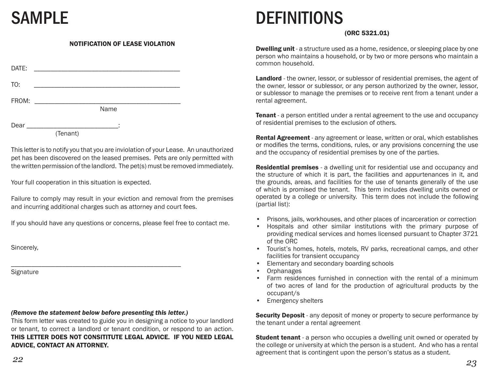### NOTIFICATION OF LEASE VIOLATION

| DATE: |          |
|-------|----------|
| TO:   |          |
| FROM: | Name     |
| Dear  | (Tenant) |

This letter is to notify you that you are inviolation of your Lease. An unauthorized pet has been discovered on the leased premises. Pets are only permitted with the written permission of the landlord. The pet(s) must be removed immediately.

Your full cooperation in this situation is expected.

Failure to comply may result in your eviction and removal from the premises and incurring additional charges such as attorney and court fees.

If you should have any questions or concerns, please feel free to contact me.

Sincerely,

**Signature** 

#### *(Remove the statement below before presenting this letter.)*

This form letter was created to guide you in designing a notice to your landlord or tenant, to correct a landlord or tenant condition, or respond to an action. THIS LETTER DOES NOT CONSITITUTE LEGAL ADVICE. IF YOU NEED LEGAL ADVICE, CONTACT AN ATTORNEY.

# SAMPLE DEFINITIONS

### (ORC 5321.01)

**Dwelling unit** - a structure used as a home, residence, or sleeping place by one person who maintains a household, or by two or more persons who maintain a common household.

Landlord - the owner, lessor, or sublessor of residential premises, the agent of the owner, lessor or sublessor, or any person authorized by the owner, lessor, or sublessor to manage the premises or to receive rent from a tenant under a rental agreement.

**Tenant** - a person entitled under a rental agreement to the use and occupancy of residential premises to the exclusion of others.

**Rental Agreement** - any agreement or lease, written or oral, which establishes or modifies the terms, conditions, rules, or any provisions concerning the use and the occupancy of residential premises by one of the parties.

Residential premises - a dwelling unit for residential use and occupancy and the structure of which it is part, the facilities and appurtenances in it, and the grounds, areas, and facilities for the use of tenants generally of the use of which is promised the tenant. This term includes dwelling units owned or operated by a college or university. This term does not include the following (partial list):

- Prisons, jails, workhouses, and other places of incarceration or correction
- Hospitals and other similar institutions with the primary purpose of providing medical services and homes licensed pursuant to Chapter 3721 of the ORC
- Tourist's homes, hotels, motels, RV parks, recreational camps, and other facilities for transient occupancy
- Elementary and secondary boarding schools
- **Orphanages**
- Farm residences furnished in connection with the rental of a minimum of two acres of land for the production of agricultural products by the occupant/s
- Emergency shelters

**Security Deposit** - any deposit of money or property to secure performance by the tenant under a rental agreement

**Student tenant** - a person who occupies a dwelling unit owned or operated by the college or university at which the person is a student. And who has a rental agreement that is contingent upon the person's status as a student.